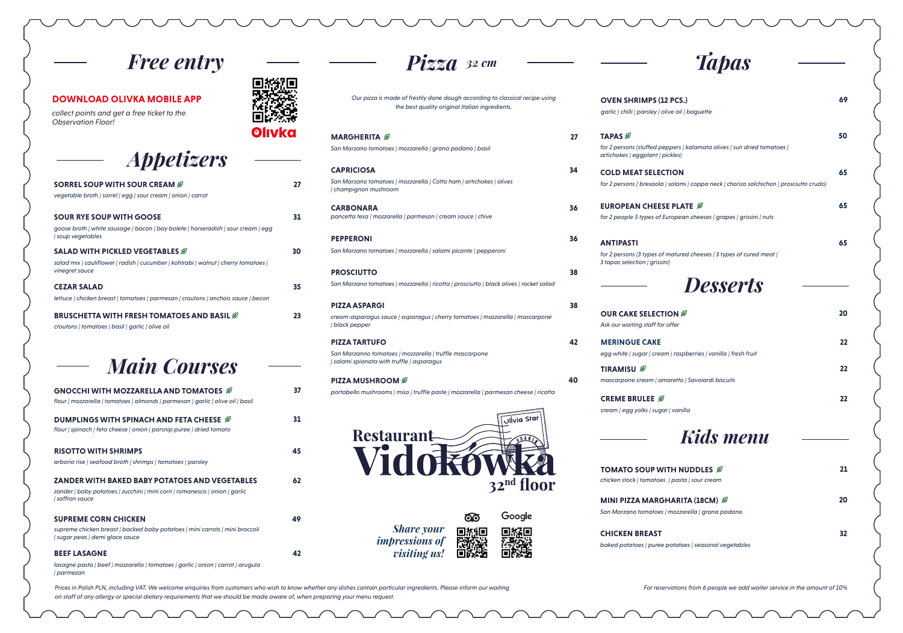*for 2 persons (stuffed peppers | kalamata artichokes | eggplant | pickles)* **TAPAS** 

*for 2 persons ( bresaola | salami | coppa ne* **COLD MEAT SELECTION** 

> *for 2 people 5 types of European cheeses* **EUROPEAN CHEESE PLATE**

*for 2 persons (3 types of matured cheeses 3 tapas selection | grissini)* **ANTIPASTI** 

*garlic | chilli | parsley | olive oil | baguette* **OVEN SHRIMPS (12 PCS.) 69**

*Our pizza is made of freshly done dough according to classical recipe using the best quality original Italian ingredients.* 

*portobello mushrooms | miso | truffle paste | mozzarella | parmesan cheese | ricotta* **PIZZA MUSHROOM**  $\mathscr D$  **40** 



෨ *Share your*  回报回 *impressions of visiting us!*  同的

Google 回探回 Пì

*chicken stock | tomatoes | pasta | sour crea* **TOMATO SOUP WITH NUDDLES 21**

*San Marzano tomatoes | mozzarella | grando* **MINI PIZZA MARGHARITA (18CM)** 

*San Marzano tomatoes | mozzarella | grana padano | basil*  **MARGHERITA** 

*pancetta tesa | mozzarella | parmesan | cream sauce | chive* **CARBONARA**

*San Marzano tomatoes | mozzarella | salami picante | pepperoni* **PEPPERONI**

*San Marzano tomatoes | mozzarella | ricotta | prosciutto | black olives | rocket salad*  **PROSCIUTTO** 

**27**

**36**

**36**

**38**

*cream-asparagus sauce | asparagus | cherry tomatoes | mozzarella | mascarpone | black pepper* **PIZZA ASPARGI 38**

> *mascarpone cream | amaretto | Savoiardi* **TIRAMISU**

> *egg white | sugar | cream | raspberries | vd* **MERINGUE CAKE**

*San Marzanno tomatoes | mozzarella | truffle mascarpone | salami spianata with truffle | asparagus* **PIZZA TARTUFO 42**

| <b>tpas</b>                                        |               |
|----------------------------------------------------|---------------|
|                                                    |               |
| 69                                                 | $\frac{1}{2}$ |
| 50<br>olives   sun dried tomatoes                  |               |
| 65<br>eck   chorizo salchichon   prosciutto crudo) | (<br>\        |
| 65<br>  grapes   grissini   nuts                   | $\frac{1}{2}$ |
| 65<br>  3 types of cured meat                      |               |
|                                                    | $\left($      |
| sserts<br>20                                       | $\frac{1}{2}$ |
|                                                    |               |
| 22<br>anilla   fresh fruit                         |               |
| 22<br>i biscuits                                   |               |
| 22                                                 |               |
| <b>s</b> menu                                      |               |
| 21<br>Ø                                            |               |
| am                                                 |               |
| 20<br>1) Ø<br>na padano                            |               |
| 32                                                 |               |
| al vegetables                                      |               |
| eople we add waiter service in the amount of 10%   |               |

*San Marzano tomatoes | mozzarella | Cotto ham | artichokes | olives | champignon mushroom* **CAPRICIOSA 34**

**CHICKEN BREAST 32**

*baked potatoes | puree potatoes | season* 

*Kids menu*

*Desserts*

*Prices in Polish PLN, including VAT. We welcome enquiries from customers who wish to know whether any dishes contain particular ingredients. Please inform our waiting on staff of any allergy or special dietary requirements that we should be made aware of, when preparing your menu request.*

*For reservations from 6 pe* 

*Ask our waiting staff for offer*  **OUR CAKE SELECTION** 

*cream | egg yolks | sugar | vanilla* **CREME BRULEE** 

*Free entry*

*collect points and get a free ticket to the Observation Floor!*

#### **DOWNLOAD OLIVKA MOBILE APP**

*flour | spinach | feta cheese | onion | parsnip puree | dried tomato*

| <b>RISOTTO WITH SHRIMPS</b><br>arborio rise   seafood broth   shrimps   tomatoes   parsley                                                             | 45 |
|--------------------------------------------------------------------------------------------------------------------------------------------------------|----|
| <b>ZANDER WITH BAKED BABY POTATOES AND VEGETABLES</b><br>zander   baby potatoes   zucchini   mini corn   romanesco   onion   garlic<br>  saffron sauce | 62 |
| <b>SUPREME CORN CHICKEN</b><br>supreme chicken breast   backed baby potatoes   mini carrots   mini broccoli<br>  sugar peas   demi glace sauce         | 49 |
| <b>BEEF LASAGNE</b>                                                                                                                                    |    |

*lasagne pasta | beef | mozzarella | tomatoes | garlic | onion | carrot | arugula | parmezan*



 $Pizza$  32 cm  $\longrightarrow$   $\longrightarrow$   $\top$ 

## *Appetizers*

| SORREL SOUP WITH SOUR CREAM $\mathscr{D}$<br>vegetable broth   sorrel   egg   sour cream   onion   carrot                                            | 27 |
|------------------------------------------------------------------------------------------------------------------------------------------------------|----|
| <b>SOUR RYE SOUP WITH GOOSE</b><br>goose broth   white sausage   bacon   bay bolete   horseradish   sour cream   egg<br><i>soup</i> vegetables       | 31 |
| SALAD WITH PICKLED VEGETABLES $\mathscr{D}$<br>salad mix   cauliflower   radish   cucumber   kohlrabi   walnut   cherry tomatoes  <br>vinegret sauce | 30 |
| <b>CEZAR SALAD</b><br>lettuce   chicken breast   tomatoes   parmesan   croutons   anchois sauce   becon                                              | 35 |
| <b>BRUSCHETTA WITH FRESH TOMATOES AND BASIL Ø</b><br>croutons   tomatoes   basil   garlic   olive oil                                                | 23 |
| <b>Main Courses</b>                                                                                                                                  |    |
| GNOCCHI WITH MOZZARELLA AND TOMATOES $\mathscr D$<br>flour   mozzarella   tomatoes   almonds   parmesan   garlic   olive oil   basil                 | 37 |
| DUMPLINGS WITH SPINACH AND FETA CHEESE $\mathscr{D}% _{M_{1},M_{2}}^{\alpha}$                                                                        | 31 |